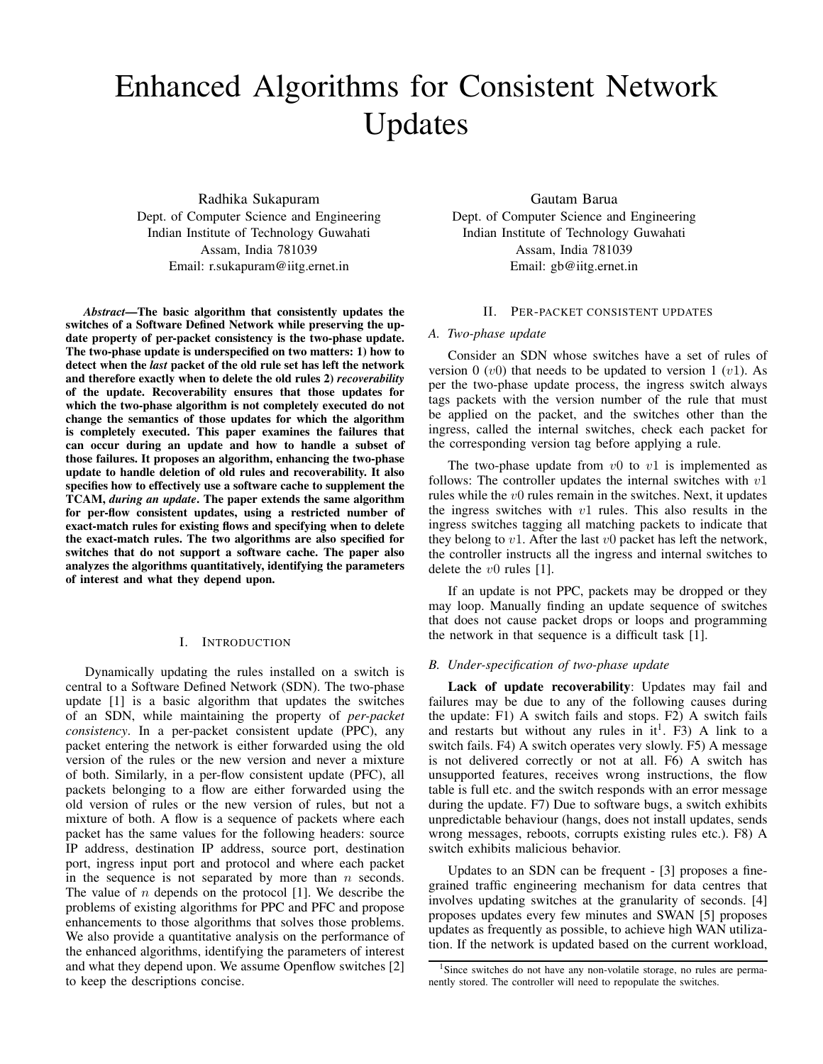# Enhanced Algorithms for Consistent Network Updates

Radhika Sukapuram Dept. of Computer Science and Engineering Indian Institute of Technology Guwahati Assam, India 781039 Email: r.sukapuram@iitg.ernet.in

*Abstract*—The basic algorithm that consistently updates the switches of a Software Defined Network while preserving the update property of per-packet consistency is the two-phase update. The two-phase update is underspecified on two matters: 1) how to detect when the *last* packet of the old rule set has left the network and therefore exactly when to delete the old rules 2) *recoverability* of the update. Recoverability ensures that those updates for which the two-phase algorithm is not completely executed do not change the semantics of those updates for which the algorithm is completely executed. This paper examines the failures that can occur during an update and how to handle a subset of those failures. It proposes an algorithm, enhancing the two-phase update to handle deletion of old rules and recoverability. It also specifies how to effectively use a software cache to supplement the TCAM, *during an update*. The paper extends the same algorithm for per-flow consistent updates, using a restricted number of exact-match rules for existing flows and specifying when to delete the exact-match rules. The two algorithms are also specified for switches that do not support a software cache. The paper also analyzes the algorithms quantitatively, identifying the parameters of interest and what they depend upon.

# I. INTRODUCTION

Dynamically updating the rules installed on a switch is central to a Software Defined Network (SDN). The two-phase update [1] is a basic algorithm that updates the switches of an SDN, while maintaining the property of *per-packet consistency*. In a per-packet consistent update (PPC), any packet entering the network is either forwarded using the old version of the rules or the new version and never a mixture of both. Similarly, in a per-flow consistent update (PFC), all packets belonging to a flow are either forwarded using the old version of rules or the new version of rules, but not a mixture of both. A flow is a sequence of packets where each packet has the same values for the following headers: source IP address, destination IP address, source port, destination port, ingress input port and protocol and where each packet in the sequence is not separated by more than  $n$  seconds. The value of  $n$  depends on the protocol [1]. We describe the problems of existing algorithms for PPC and PFC and propose enhancements to those algorithms that solves those problems. We also provide a quantitative analysis on the performance of the enhanced algorithms, identifying the parameters of interest and what they depend upon. We assume Openflow switches [2] to keep the descriptions concise.

Gautam Barua Dept. of Computer Science and Engineering Indian Institute of Technology Guwahati Assam, India 781039 Email: gb@iitg.ernet.in

## II. PER-PACKET CONSISTENT UPDATES

# *A. Two-phase update*

Consider an SDN whose switches have a set of rules of version 0  $(v0)$  that needs to be updated to version 1  $(v1)$ . As per the two-phase update process, the ingress switch always tags packets with the version number of the rule that must be applied on the packet, and the switches other than the ingress, called the internal switches, check each packet for the corresponding version tag before applying a rule.

The two-phase update from  $v0$  to  $v1$  is implemented as follows: The controller updates the internal switches with  $v1$ rules while the  $v0$  rules remain in the switches. Next, it updates the ingress switches with  $v1$  rules. This also results in the ingress switches tagging all matching packets to indicate that they belong to  $v1$ . After the last  $v0$  packet has left the network, the controller instructs all the ingress and internal switches to delete the  $v0$  rules [1].

If an update is not PPC, packets may be dropped or they may loop. Manually finding an update sequence of switches that does not cause packet drops or loops and programming the network in that sequence is a difficult task [1].

# *B. Under-specification of two-phase update*

Lack of update recoverability: Updates may fail and failures may be due to any of the following causes during the update: F1) A switch fails and stops. F2) A switch fails and restarts but without any rules in  $it^1$ . F3) A link to a switch fails. F4) A switch operates very slowly. F5) A message is not delivered correctly or not at all. F6) A switch has unsupported features, receives wrong instructions, the flow table is full etc. and the switch responds with an error message during the update. F7) Due to software bugs, a switch exhibits unpredictable behaviour (hangs, does not install updates, sends wrong messages, reboots, corrupts existing rules etc.). F8) A switch exhibits malicious behavior.

Updates to an SDN can be frequent - [3] proposes a finegrained traffic engineering mechanism for data centres that involves updating switches at the granularity of seconds. [4] proposes updates every few minutes and SWAN [5] proposes updates as frequently as possible, to achieve high WAN utilization. If the network is updated based on the current workload,

<sup>&</sup>lt;sup>1</sup>Since switches do not have any non-volatile storage, no rules are permanently stored. The controller will need to repopulate the switches.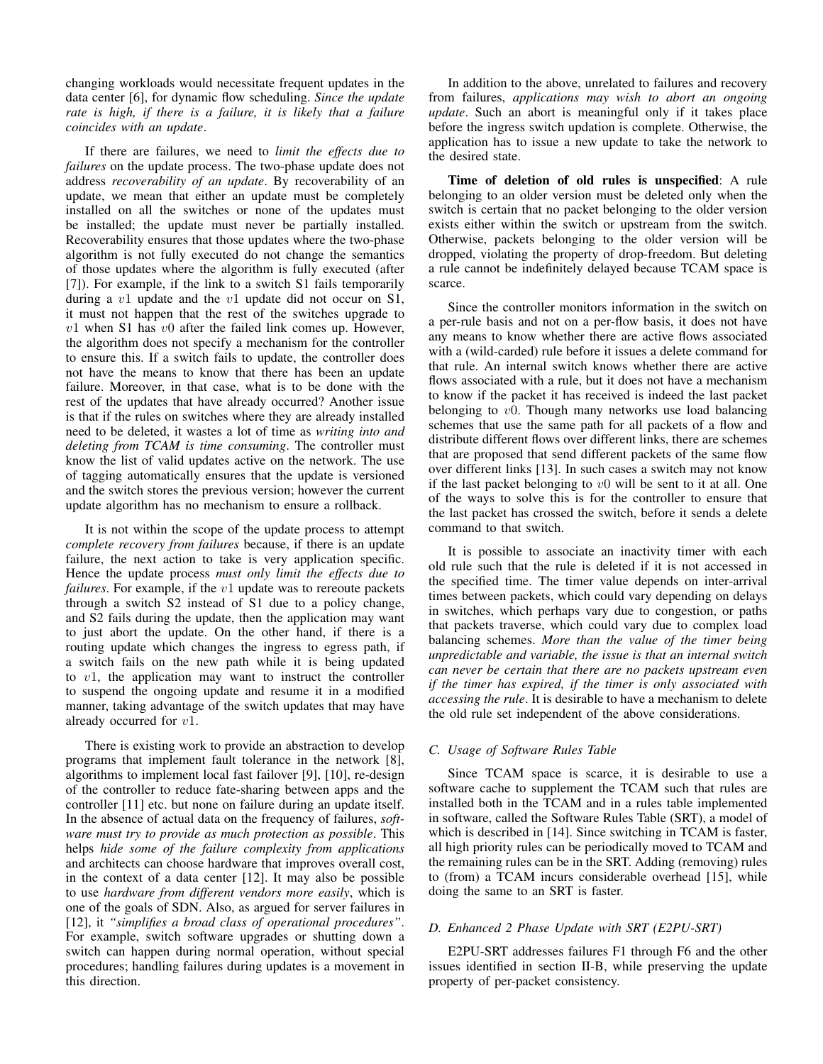changing workloads would necessitate frequent updates in the data center [6], for dynamic flow scheduling. *Since the update rate is high, if there is a failure, it is likely that a failure coincides with an update*.

If there are failures, we need to *limit the effects due to failures* on the update process. The two-phase update does not address *recoverability of an update*. By recoverability of an update, we mean that either an update must be completely installed on all the switches or none of the updates must be installed; the update must never be partially installed. Recoverability ensures that those updates where the two-phase algorithm is not fully executed do not change the semantics of those updates where the algorithm is fully executed (after [7]). For example, if the link to a switch S1 fails temporarily during a  $v1$  update and the  $v1$  update did not occur on S1, it must not happen that the rest of the switches upgrade to  $v1$  when S1 has  $v0$  after the failed link comes up. However, the algorithm does not specify a mechanism for the controller to ensure this. If a switch fails to update, the controller does not have the means to know that there has been an update failure. Moreover, in that case, what is to be done with the rest of the updates that have already occurred? Another issue is that if the rules on switches where they are already installed need to be deleted, it wastes a lot of time as *writing into and deleting from TCAM is time consuming*. The controller must know the list of valid updates active on the network. The use of tagging automatically ensures that the update is versioned and the switch stores the previous version; however the current update algorithm has no mechanism to ensure a rollback.

It is not within the scope of the update process to attempt *complete recovery from failures* because, if there is an update failure, the next action to take is very application specific. Hence the update process *must only limit the effects due to failures*. For example, if the v1 update was to rereoute packets through a switch S2 instead of S1 due to a policy change, and S2 fails during the update, then the application may want to just abort the update. On the other hand, if there is a routing update which changes the ingress to egress path, if a switch fails on the new path while it is being updated to  $v_1$ , the application may want to instruct the controller to suspend the ongoing update and resume it in a modified manner, taking advantage of the switch updates that may have already occurred for v1.

There is existing work to provide an abstraction to develop programs that implement fault tolerance in the network [8], algorithms to implement local fast failover [9], [10], re-design of the controller to reduce fate-sharing between apps and the controller [11] etc. but none on failure during an update itself. In the absence of actual data on the frequency of failures, *software must try to provide as much protection as possible*. This helps *hide some of the failure complexity from applications* and architects can choose hardware that improves overall cost, in the context of a data center [12]. It may also be possible to use *hardware from different vendors more easily*, which is one of the goals of SDN. Also, as argued for server failures in [12], it *"simplifies a broad class of operational procedures"*. For example, switch software upgrades or shutting down a switch can happen during normal operation, without special procedures; handling failures during updates is a movement in this direction.

In addition to the above, unrelated to failures and recovery from failures, *applications may wish to abort an ongoing update*. Such an abort is meaningful only if it takes place before the ingress switch updation is complete. Otherwise, the application has to issue a new update to take the network to the desired state.

Time of deletion of old rules is unspecified: A rule belonging to an older version must be deleted only when the switch is certain that no packet belonging to the older version exists either within the switch or upstream from the switch. Otherwise, packets belonging to the older version will be dropped, violating the property of drop-freedom. But deleting a rule cannot be indefinitely delayed because TCAM space is scarce.

Since the controller monitors information in the switch on a per-rule basis and not on a per-flow basis, it does not have any means to know whether there are active flows associated with a (wild-carded) rule before it issues a delete command for that rule. An internal switch knows whether there are active flows associated with a rule, but it does not have a mechanism to know if the packet it has received is indeed the last packet belonging to  $v0$ . Though many networks use load balancing schemes that use the same path for all packets of a flow and distribute different flows over different links, there are schemes that are proposed that send different packets of the same flow over different links [13]. In such cases a switch may not know if the last packet belonging to  $v0$  will be sent to it at all. One of the ways to solve this is for the controller to ensure that the last packet has crossed the switch, before it sends a delete command to that switch.

It is possible to associate an inactivity timer with each old rule such that the rule is deleted if it is not accessed in the specified time. The timer value depends on inter-arrival times between packets, which could vary depending on delays in switches, which perhaps vary due to congestion, or paths that packets traverse, which could vary due to complex load balancing schemes. *More than the value of the timer being unpredictable and variable, the issue is that an internal switch can never be certain that there are no packets upstream even if the timer has expired, if the timer is only associated with accessing the rule*. It is desirable to have a mechanism to delete the old rule set independent of the above considerations.

# *C. Usage of Software Rules Table*

Since TCAM space is scarce, it is desirable to use a software cache to supplement the TCAM such that rules are installed both in the TCAM and in a rules table implemented in software, called the Software Rules Table (SRT), a model of which is described in [14]. Since switching in TCAM is faster, all high priority rules can be periodically moved to TCAM and the remaining rules can be in the SRT. Adding (removing) rules to (from) a TCAM incurs considerable overhead [15], while doing the same to an SRT is faster.

# *D. Enhanced 2 Phase Update with SRT (E2PU-SRT)*

E2PU-SRT addresses failures F1 through F6 and the other issues identified in section II-B, while preserving the update property of per-packet consistency.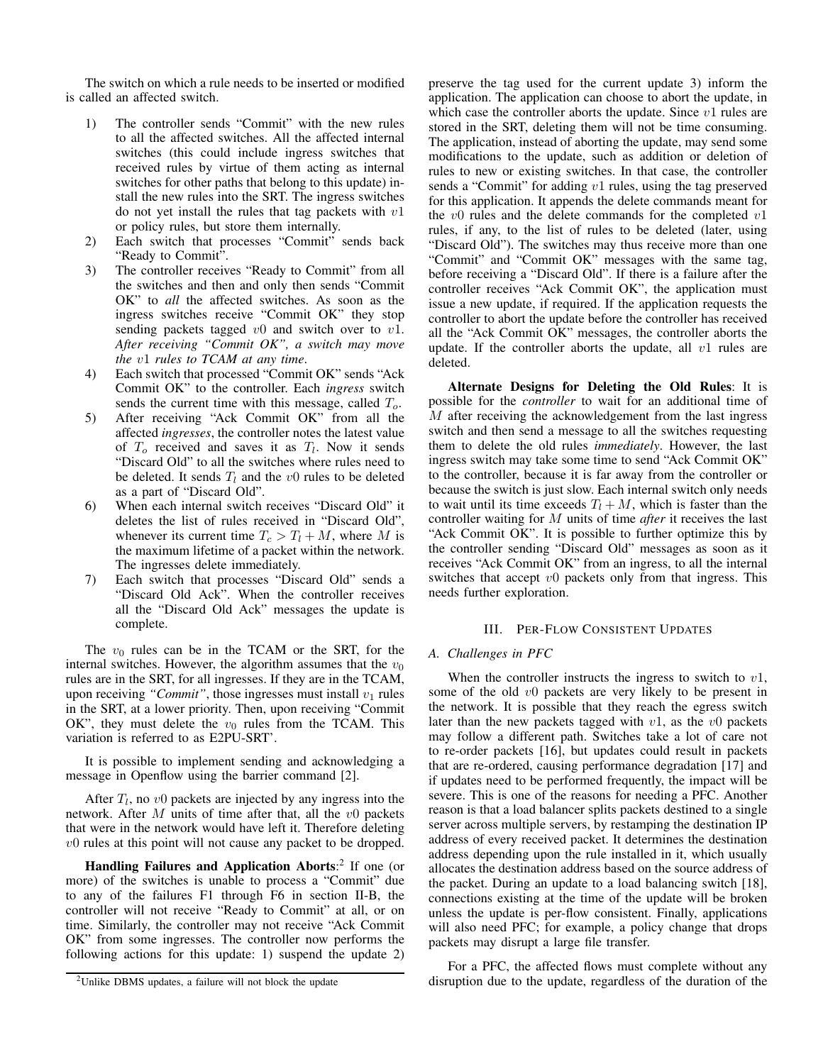The switch on which a rule needs to be inserted or modified is called an affected switch.

- 1) The controller sends "Commit" with the new rules to all the affected switches. All the affected internal switches (this could include ingress switches that received rules by virtue of them acting as internal switches for other paths that belong to this update) install the new rules into the SRT. The ingress switches do not yet install the rules that tag packets with  $v1$ or policy rules, but store them internally.
- 2) Each switch that processes "Commit" sends back "Ready to Commit".
- 3) The controller receives "Ready to Commit" from all the switches and then and only then sends "Commit OK" to *all* the affected switches. As soon as the ingress switches receive "Commit OK" they stop sending packets tagged  $v0$  and switch over to  $v1$ . *After receiving "Commit OK", a switch may move the* v1 *rules to TCAM at any time*.
- 4) Each switch that processed "Commit OK" sends "Ack Commit OK" to the controller. Each *ingress* switch sends the current time with this message, called  $T<sub>o</sub>$ .
- 5) After receiving "Ack Commit OK" from all the affected *ingresses*, the controller notes the latest value of  $T_o$  received and saves it as  $T_l$ . Now it sends "Discard Old" to all the switches where rules need to be deleted. It sends  $T_l$  and the v0 rules to be deleted as a part of "Discard Old".
- 6) When each internal switch receives "Discard Old" it deletes the list of rules received in "Discard Old", whenever its current time  $T_c > T_l + M$ , where M is the maximum lifetime of a packet within the network. The ingresses delete immediately.
- 7) Each switch that processes "Discard Old" sends a "Discard Old Ack". When the controller receives all the "Discard Old Ack" messages the update is complete.

The  $v_0$  rules can be in the TCAM or the SRT, for the internal switches. However, the algorithm assumes that the  $v_0$ rules are in the SRT, for all ingresses. If they are in the TCAM, upon receiving "Commit", those ingresses must install  $v_1$  rules in the SRT, at a lower priority. Then, upon receiving "Commit OK", they must delete the  $v_0$  rules from the TCAM. This variation is referred to as E2PU-SRT'.

It is possible to implement sending and acknowledging a message in Openflow using the barrier command [2].

After  $T_l$ , no  $v0$  packets are injected by any ingress into the network. After  $M$  units of time after that, all the  $v0$  packets that were in the network would have left it. Therefore deleting  $v0$  rules at this point will not cause any packet to be dropped.

Handling Failures and Application Aborts:<sup>2</sup> If one (or more) of the switches is unable to process a "Commit" due to any of the failures F1 through F6 in section II-B, the controller will not receive "Ready to Commit" at all, or on time. Similarly, the controller may not receive "Ack Commit OK" from some ingresses. The controller now performs the following actions for this update: 1) suspend the update 2) preserve the tag used for the current update 3) inform the application. The application can choose to abort the update, in which case the controller aborts the update. Since  $v1$  rules are stored in the SRT, deleting them will not be time consuming. The application, instead of aborting the update, may send some modifications to the update, such as addition or deletion of rules to new or existing switches. In that case, the controller sends a "Commit" for adding v1 rules, using the tag preserved for this application. It appends the delete commands meant for the  $v0$  rules and the delete commands for the completed  $v1$ rules, if any, to the list of rules to be deleted (later, using "Discard Old"). The switches may thus receive more than one "Commit" and "Commit OK" messages with the same tag, before receiving a "Discard Old". If there is a failure after the controller receives "Ack Commit OK", the application must issue a new update, if required. If the application requests the controller to abort the update before the controller has received all the "Ack Commit OK" messages, the controller aborts the update. If the controller aborts the update, all  $v1$  rules are deleted.

Alternate Designs for Deleting the Old Rules: It is possible for the *controller* to wait for an additional time of M after receiving the acknowledgement from the last ingress switch and then send a message to all the switches requesting them to delete the old rules *immediately*. However, the last ingress switch may take some time to send "Ack Commit OK" to the controller, because it is far away from the controller or because the switch is just slow. Each internal switch only needs to wait until its time exceeds  $T_l + M$ , which is faster than the controller waiting for M units of time *after* it receives the last "Ack Commit OK". It is possible to further optimize this by the controller sending "Discard Old" messages as soon as it receives "Ack Commit OK" from an ingress, to all the internal switches that accept  $v0$  packets only from that ingress. This needs further exploration.

## III. PER-FLOW CONSISTENT UPDATES

### *A. Challenges in PFC*

When the controller instructs the ingress to switch to  $v1$ , some of the old  $v0$  packets are very likely to be present in the network. It is possible that they reach the egress switch later than the new packets tagged with  $v1$ , as the  $v0$  packets may follow a different path. Switches take a lot of care not to re-order packets [16], but updates could result in packets that are re-ordered, causing performance degradation [17] and if updates need to be performed frequently, the impact will be severe. This is one of the reasons for needing a PFC. Another reason is that a load balancer splits packets destined to a single server across multiple servers, by restamping the destination IP address of every received packet. It determines the destination address depending upon the rule installed in it, which usually allocates the destination address based on the source address of the packet. During an update to a load balancing switch [18], connections existing at the time of the update will be broken unless the update is per-flow consistent. Finally, applications will also need PFC; for example, a policy change that drops packets may disrupt a large file transfer.

For a PFC, the affected flows must complete without any disruption due to the update, regardless of the duration of the

<sup>&</sup>lt;sup>2</sup>Unlike DBMS updates, a failure will not block the update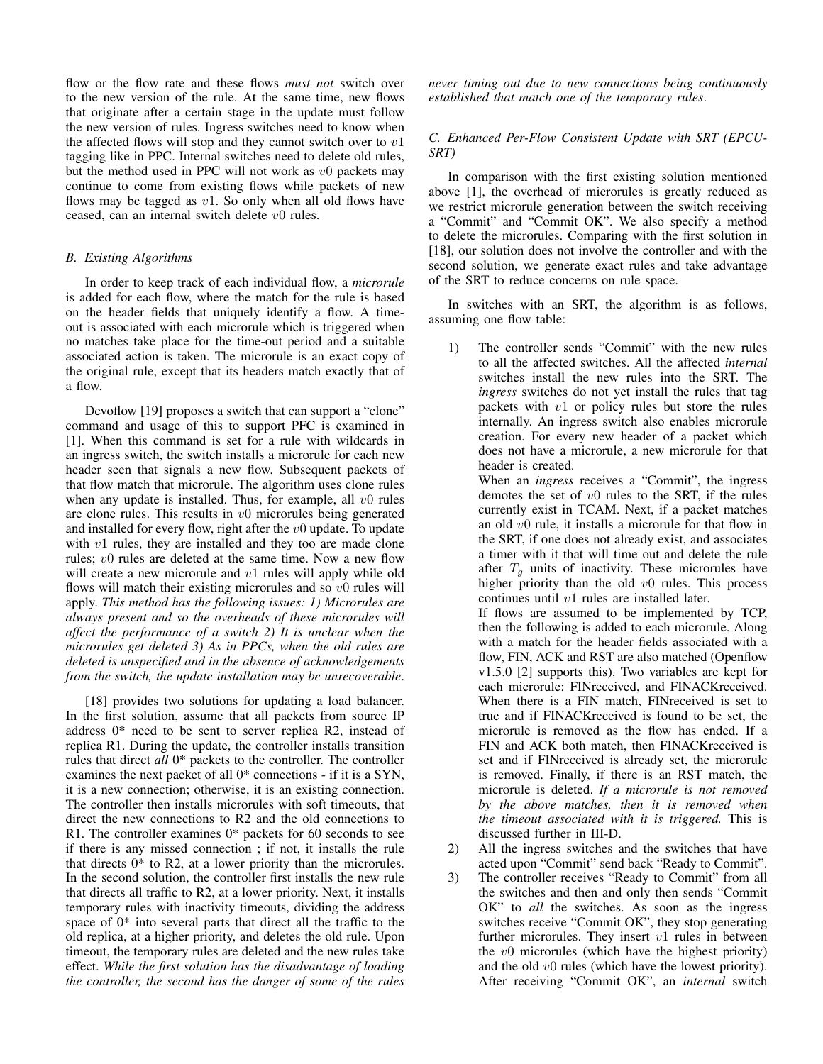flow or the flow rate and these flows *must not* switch over to the new version of the rule. At the same time, new flows that originate after a certain stage in the update must follow the new version of rules. Ingress switches need to know when the affected flows will stop and they cannot switch over to  $v1$ tagging like in PPC. Internal switches need to delete old rules, but the method used in PPC will not work as  $v0$  packets may continue to come from existing flows while packets of new flows may be tagged as  $v1$ . So only when all old flows have ceased, can an internal switch delete  $v0$  rules.

# *B. Existing Algorithms*

In order to keep track of each individual flow, a *microrule* is added for each flow, where the match for the rule is based on the header fields that uniquely identify a flow. A timeout is associated with each microrule which is triggered when no matches take place for the time-out period and a suitable associated action is taken. The microrule is an exact copy of the original rule, except that its headers match exactly that of a flow.

Devoflow [19] proposes a switch that can support a "clone" command and usage of this to support PFC is examined in [1]. When this command is set for a rule with wildcards in an ingress switch, the switch installs a microrule for each new header seen that signals a new flow. Subsequent packets of that flow match that microrule. The algorithm uses clone rules when any update is installed. Thus, for example, all  $v0$  rules are clone rules. This results in  $v_0$  microrules being generated and installed for every flow, right after the  $v_0$  update. To update with  $v1$  rules, they are installed and they too are made clone rules;  $v0$  rules are deleted at the same time. Now a new flow will create a new microrule and v1 rules will apply while old flows will match their existing microrules and so  $v_0$  rules will apply. *This method has the following issues: 1) Microrules are always present and so the overheads of these microrules will affect the performance of a switch 2) It is unclear when the microrules get deleted 3) As in PPCs, when the old rules are deleted is unspecified and in the absence of acknowledgements from the switch, the update installation may be unrecoverable*.

[18] provides two solutions for updating a load balancer. In the first solution, assume that all packets from source IP address 0\* need to be sent to server replica R2, instead of replica R1. During the update, the controller installs transition rules that direct *all* 0\* packets to the controller. The controller examines the next packet of all 0\* connections - if it is a SYN, it is a new connection; otherwise, it is an existing connection. The controller then installs microrules with soft timeouts, that direct the new connections to R2 and the old connections to R1. The controller examines 0\* packets for 60 seconds to see if there is any missed connection ; if not, it installs the rule that directs  $0*$  to R2, at a lower priority than the microrules. In the second solution, the controller first installs the new rule that directs all traffic to R2, at a lower priority. Next, it installs temporary rules with inactivity timeouts, dividing the address space of 0\* into several parts that direct all the traffic to the old replica, at a higher priority, and deletes the old rule. Upon timeout, the temporary rules are deleted and the new rules take effect. *While the first solution has the disadvantage of loading the controller, the second has the danger of some of the rules* *never timing out due to new connections being continuously established that match one of the temporary rules*.

# *C. Enhanced Per-Flow Consistent Update with SRT (EPCU-SRT)*

In comparison with the first existing solution mentioned above [1], the overhead of microrules is greatly reduced as we restrict microrule generation between the switch receiving a "Commit" and "Commit OK". We also specify a method to delete the microrules. Comparing with the first solution in [18], our solution does not involve the controller and with the second solution, we generate exact rules and take advantage of the SRT to reduce concerns on rule space.

In switches with an SRT, the algorithm is as follows, assuming one flow table:

1) The controller sends "Commit" with the new rules to all the affected switches. All the affected *internal* switches install the new rules into the SRT. The *ingress* switches do not yet install the rules that tag packets with  $v1$  or policy rules but store the rules internally. An ingress switch also enables microrule creation. For every new header of a packet which does not have a microrule, a new microrule for that header is created.

When an *ingress* receives a "Commit", the ingress demotes the set of  $v0$  rules to the SRT, if the rules currently exist in TCAM. Next, if a packet matches an old v0 rule, it installs a microrule for that flow in the SRT, if one does not already exist, and associates a timer with it that will time out and delete the rule after  $T<sub>g</sub>$  units of inactivity. These microrules have higher priority than the old  $v0$  rules. This process continues until v1 rules are installed later.

If flows are assumed to be implemented by TCP, then the following is added to each microrule. Along with a match for the header fields associated with a flow, FIN, ACK and RST are also matched (Openflow v1.5.0 [2] supports this). Two variables are kept for each microrule: FINreceived, and FINACKreceived. When there is a FIN match, FINreceived is set to true and if FINACKreceived is found to be set, the microrule is removed as the flow has ended. If a FIN and ACK both match, then FINACKreceived is set and if FINreceived is already set, the microrule is removed. Finally, if there is an RST match, the microrule is deleted. *If a microrule is not removed by the above matches, then it is removed when the timeout associated with it is triggered.* This is discussed further in III-D.

- 2) All the ingress switches and the switches that have acted upon "Commit" send back "Ready to Commit".
- 3) The controller receives "Ready to Commit" from all the switches and then and only then sends "Commit OK" to *all* the switches. As soon as the ingress switches receive "Commit OK", they stop generating further microrules. They insert  $v1$  rules in between the  $v0$  microrules (which have the highest priority) and the old  $v0$  rules (which have the lowest priority). After receiving "Commit OK", an *internal* switch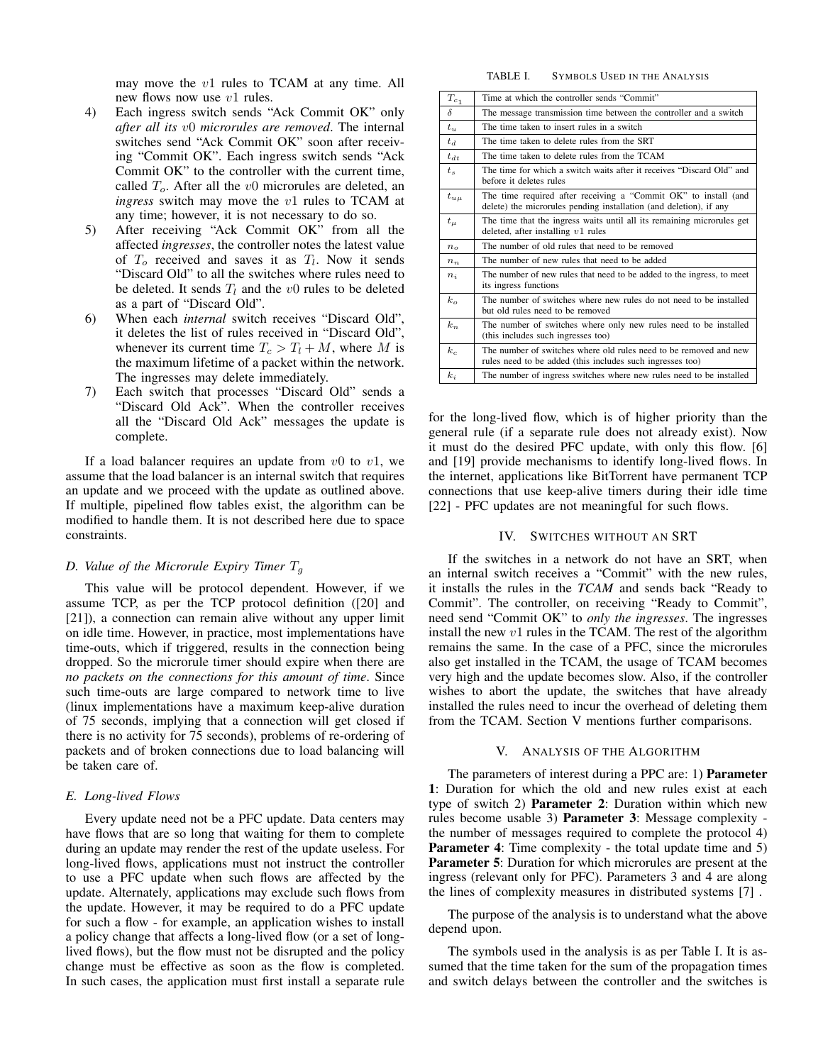may move the v1 rules to TCAM at any time. All new flows now use  $v1$  rules.

- 4) Each ingress switch sends "Ack Commit OK" only *after all its* v0 *microrules are removed*. The internal switches send "Ack Commit OK" soon after receiving "Commit OK". Each ingress switch sends "Ack Commit OK" to the controller with the current time, called  $T<sub>o</sub>$ . After all the v0 microrules are deleted, an *ingress* switch may move the v1 rules to TCAM at any time; however, it is not necessary to do so.
- 5) After receiving "Ack Commit OK" from all the affected *ingresses*, the controller notes the latest value of  $T<sub>o</sub>$  received and saves it as  $T<sub>l</sub>$ . Now it sends "Discard Old" to all the switches where rules need to be deleted. It sends  $T_l$  and the v0 rules to be deleted as a part of "Discard Old".
- 6) When each *internal* switch receives "Discard Old", it deletes the list of rules received in "Discard Old", whenever its current time  $T_c > T_l + M$ , where M is the maximum lifetime of a packet within the network. The ingresses may delete immediately.
- 7) Each switch that processes "Discard Old" sends a "Discard Old Ack". When the controller receives all the "Discard Old Ack" messages the update is complete.

If a load balancer requires an update from  $v_0$  to  $v_1$ , we assume that the load balancer is an internal switch that requires an update and we proceed with the update as outlined above. If multiple, pipelined flow tables exist, the algorithm can be modified to handle them. It is not described here due to space constraints.

# *D. Value of the Microrule Expiry Timer* T<sup>g</sup>

This value will be protocol dependent. However, if we assume TCP, as per the TCP protocol definition ([20] and [21]), a connection can remain alive without any upper limit on idle time. However, in practice, most implementations have time-outs, which if triggered, results in the connection being dropped. So the microrule timer should expire when there are *no packets on the connections for this amount of time*. Since such time-outs are large compared to network time to live (linux implementations have a maximum keep-alive duration of 75 seconds, implying that a connection will get closed if there is no activity for 75 seconds), problems of re-ordering of packets and of broken connections due to load balancing will be taken care of.

## *E. Long-lived Flows*

Every update need not be a PFC update. Data centers may have flows that are so long that waiting for them to complete during an update may render the rest of the update useless. For long-lived flows, applications must not instruct the controller to use a PFC update when such flows are affected by the update. Alternately, applications may exclude such flows from the update. However, it may be required to do a PFC update for such a flow - for example, an application wishes to install a policy change that affects a long-lived flow (or a set of longlived flows), but the flow must not be disrupted and the policy change must be effective as soon as the flow is completed. In such cases, the application must first install a separate rule

#### TABLE I. SYMBOLS USED IN THE ANALYSIS

| $T_{c_{\hskip.1em 1}}$ | Time at which the controller sends "Commit"                                                                                           |
|------------------------|---------------------------------------------------------------------------------------------------------------------------------------|
| δ                      | The message transmission time between the controller and a switch                                                                     |
| $t_u$                  | The time taken to insert rules in a switch                                                                                            |
| $t_d$                  | The time taken to delete rules from the SRT                                                                                           |
| $t_{dt}$               | The time taken to delete rules from the TCAM                                                                                          |
| $t_{s}$                | The time for which a switch waits after it receives "Discard Old" and<br>before it deletes rules                                      |
| $t_{u\mu}$             | The time required after receiving a "Commit OK" to install (and<br>delete) the microrules pending installation (and deletion), if any |
| $t_\mu$                | The time that the ingress waits until all its remaining microrules get<br>deleted, after installing $v1$ rules                        |
| $n_{\rm o}$            | The number of old rules that need to be removed                                                                                       |
| $n_n$                  | The number of new rules that need to be added                                                                                         |
| $n_i$                  | The number of new rules that need to be added to the ingress, to meet<br>its ingress functions                                        |
| $k_{\alpha}$           | The number of switches where new rules do not need to be installed<br>but old rules need to be removed                                |
| $k_n$                  | The number of switches where only new rules need to be installed<br>(this includes such ingresses too)                                |
| $k_c$                  | The number of switches where old rules need to be removed and new<br>rules need to be added (this includes such ingresses too)        |
| $k_i$                  | The number of ingress switches where new rules need to be installed                                                                   |
|                        |                                                                                                                                       |

for the long-lived flow, which is of higher priority than the general rule (if a separate rule does not already exist). Now it must do the desired PFC update, with only this flow. [6] and [19] provide mechanisms to identify long-lived flows. In the internet, applications like BitTorrent have permanent TCP connections that use keep-alive timers during their idle time [22] - PFC updates are not meaningful for such flows.

#### IV. SWITCHES WITHOUT AN SRT

If the switches in a network do not have an SRT, when an internal switch receives a "Commit" with the new rules, it installs the rules in the *TCAM* and sends back "Ready to Commit". The controller, on receiving "Ready to Commit", need send "Commit OK" to *only the ingresses*. The ingresses install the new  $v1$  rules in the TCAM. The rest of the algorithm remains the same. In the case of a PFC, since the microrules also get installed in the TCAM, the usage of TCAM becomes very high and the update becomes slow. Also, if the controller wishes to abort the update, the switches that have already installed the rules need to incur the overhead of deleting them from the TCAM. Section V mentions further comparisons.

# V. ANALYSIS OF THE ALGORITHM

The parameters of interest during a PPC are: 1) Parameter 1: Duration for which the old and new rules exist at each type of switch 2) Parameter 2: Duration within which new rules become usable 3) Parameter 3: Message complexity the number of messages required to complete the protocol 4) Parameter 4: Time complexity - the total update time and 5) Parameter 5: Duration for which microrules are present at the ingress (relevant only for PFC). Parameters 3 and 4 are along the lines of complexity measures in distributed systems [7] .

The purpose of the analysis is to understand what the above depend upon.

The symbols used in the analysis is as per Table I. It is assumed that the time taken for the sum of the propagation times and switch delays between the controller and the switches is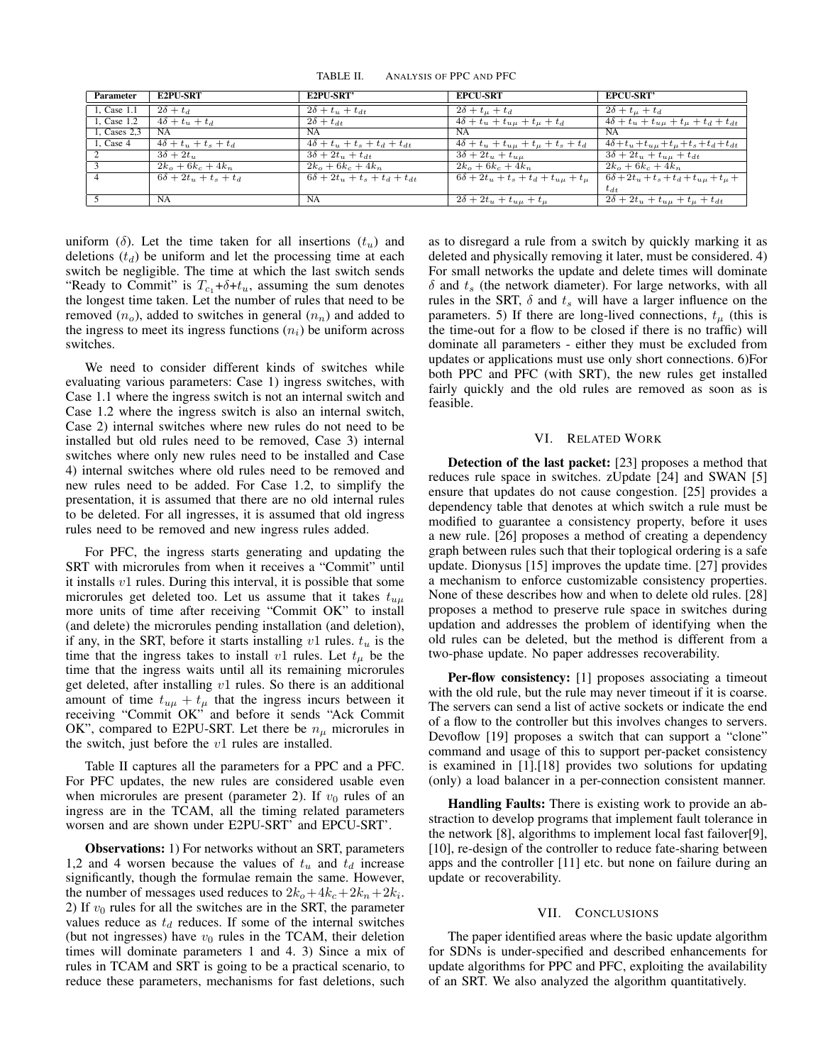TABLE II. ANALYSIS OF PPC AND PFC

| Parameter    | <b>E2PU-SRT</b>              | <b>E2PU-SRT'</b>                             | <b>EPCU-SRT</b>                                   | <b>EPCU-SRT'</b>                                          |
|--------------|------------------------------|----------------------------------------------|---------------------------------------------------|-----------------------------------------------------------|
| 1, Case 1.1  | $2\delta + t_d$              | $2\delta + t_u + t_{dt}$                     | $2\delta + t_{\mu} + t_{d}$                       | $2\delta + t_{\mu} + t_{d}$                               |
| 1, Case 1.2  | $4\delta + t_u + t_d$        | $2\delta + t_{dt}$                           | $4\delta + t_u + t_{u\mu} + t_{\mu} + t_d$        | $4\delta + t_u + t_{u\mu} + t_{\mu} + t_d + t_{dt}$       |
| 1, Cases 2.3 | NA                           | NA.                                          | NA                                                | NA                                                        |
| 1, Case $4$  | $4\delta + t_u + t_s + t_d$  | $4\delta + t_u + t_s + t_d + t_{dt}$         | $4\delta + t_u + t_{u\mu} + t_{\mu} + t_s + t_d$  | $4\delta + t_u + t_{u\mu} + t_{\mu} + t_s + t_d + t_{dt}$ |
| 2            | $3\delta + 2t_u$             | $3\delta + 2t_{ii} + t_{dt}$                 | $3\delta + 2t_u + t_{uu}$                         | $3\delta + 2t_u + t_{uu} + t_{dt}$                        |
| 3            | $2k_o + 6k_c + 4k_n$         | $2k_o + 6k_c + 4k_n$                         | $2k_o + 6k_c + 4k_n$                              | $2k_o + 6k_c + 4k_n$                                      |
|              | $6\delta + 2t_u + t_s + t_d$ | $6\delta + 2t_{ii} + t_{s} + t_{d} + t_{dt}$ | $6\delta + 2t_u + t_s + t_d + t_{u\mu} + t_{\mu}$ | $6\delta + 2t_u + t_s + t_d + t_{u} + t_u +$              |
|              |                              |                                              |                                                   | $t_{dt}$                                                  |
|              | <b>NA</b>                    | NA.                                          | $2\delta + 2t_u + t_{u\mu} + t_{\mu}$             | $2\delta + 2t_u + t_{u\mu} + t_{\mu} + t_{dt}$            |

uniform (δ). Let the time taken for all insertions  $(t<sub>u</sub>)$  and deletions  $(t_d)$  be uniform and let the processing time at each switch be negligible. The time at which the last switch sends "Ready to Commit" is  $T_{c_1} + \delta + t_u$ , assuming the sum denotes the longest time taken. Let the number of rules that need to be removed  $(n_o)$ , added to switches in general  $(n_n)$  and added to the ingress to meet its ingress functions  $(n<sub>i</sub>)$  be uniform across switches.

We need to consider different kinds of switches while evaluating various parameters: Case 1) ingress switches, with Case 1.1 where the ingress switch is not an internal switch and Case 1.2 where the ingress switch is also an internal switch, Case 2) internal switches where new rules do not need to be installed but old rules need to be removed, Case 3) internal switches where only new rules need to be installed and Case 4) internal switches where old rules need to be removed and new rules need to be added. For Case 1.2, to simplify the presentation, it is assumed that there are no old internal rules to be deleted. For all ingresses, it is assumed that old ingress rules need to be removed and new ingress rules added.

For PFC, the ingress starts generating and updating the SRT with microrules from when it receives a "Commit" until it installs  $v1$  rules. During this interval, it is possible that some microrules get deleted too. Let us assume that it takes  $t_{u\mu}$ more units of time after receiving "Commit OK" to install (and delete) the microrules pending installation (and deletion), if any, in the SRT, before it starts installing  $v_1$  rules.  $t_u$  is the time that the ingress takes to install v1 rules. Let  $t_{\mu}$  be the time that the ingress waits until all its remaining microrules get deleted, after installing  $v1$  rules. So there is an additional amount of time  $t_{u\mu} + t_{\mu}$  that the ingress incurs between it receiving "Commit OK" and before it sends "Ack Commit OK", compared to E2PU-SRT. Let there be  $n_{\mu}$  microrules in the switch, just before the  $v1$  rules are installed.

Table II captures all the parameters for a PPC and a PFC. For PFC updates, the new rules are considered usable even when microrules are present (parameter 2). If  $v_0$  rules of an ingress are in the TCAM, all the timing related parameters worsen and are shown under E2PU-SRT' and EPCU-SRT'.

Observations: 1) For networks without an SRT, parameters 1,2 and 4 worsen because the values of  $t<sub>u</sub>$  and  $t<sub>d</sub>$  increase significantly, though the formulae remain the same. However, the number of messages used reduces to  $2k_o + 4k_c + 2k_n + 2k_i$ . 2) If  $v_0$  rules for all the switches are in the SRT, the parameter values reduce as  $t_d$  reduces. If some of the internal switches (but not ingresses) have  $v_0$  rules in the TCAM, their deletion times will dominate parameters 1 and 4. 3) Since a mix of rules in TCAM and SRT is going to be a practical scenario, to reduce these parameters, mechanisms for fast deletions, such

as to disregard a rule from a switch by quickly marking it as deleted and physically removing it later, must be considered. 4) For small networks the update and delete times will dominate  $\delta$  and  $t_s$  (the network diameter). For large networks, with all rules in the SRT,  $\delta$  and  $t_s$  will have a larger influence on the parameters. 5) If there are long-lived connections,  $t_{\mu}$  (this is the time-out for a flow to be closed if there is no traffic) will dominate all parameters - either they must be excluded from updates or applications must use only short connections. 6)For both PPC and PFC (with SRT), the new rules get installed fairly quickly and the old rules are removed as soon as is feasible.

## VI. RELATED WORK

Detection of the last packet: [23] proposes a method that reduces rule space in switches. zUpdate [24] and SWAN [5] ensure that updates do not cause congestion. [25] provides a dependency table that denotes at which switch a rule must be modified to guarantee a consistency property, before it uses a new rule. [26] proposes a method of creating a dependency graph between rules such that their toplogical ordering is a safe update. Dionysus [15] improves the update time. [27] provides a mechanism to enforce customizable consistency properties. None of these describes how and when to delete old rules. [28] proposes a method to preserve rule space in switches during updation and addresses the problem of identifying when the old rules can be deleted, but the method is different from a two-phase update. No paper addresses recoverability.

Per-flow consistency: [1] proposes associating a timeout with the old rule, but the rule may never timeout if it is coarse. The servers can send a list of active sockets or indicate the end of a flow to the controller but this involves changes to servers. Devoflow [19] proposes a switch that can support a "clone" command and usage of this to support per-packet consistency is examined in [1].[18] provides two solutions for updating (only) a load balancer in a per-connection consistent manner.

Handling Faults: There is existing work to provide an abstraction to develop programs that implement fault tolerance in the network [8], algorithms to implement local fast failover[9], [10], re-design of the controller to reduce fate-sharing between apps and the controller [11] etc. but none on failure during an update or recoverability.

### VII. CONCLUSIONS

The paper identified areas where the basic update algorithm for SDNs is under-specified and described enhancements for update algorithms for PPC and PFC, exploiting the availability of an SRT. We also analyzed the algorithm quantitatively.